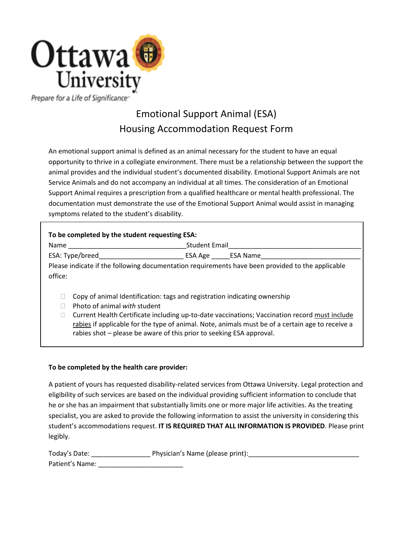

Prepare for a Life of Significance<sup>®</sup>

# Emotional Support Animal (ESA) Housing Accommodation Request Form

An emotional support animal is defined as an animal necessary for the student to have an equal opportunity to thrive in a collegiate environment. There must be a relationship between the support the animal provides and the individual student's documented disability. Emotional Support Animals are not Service Animals and do not accompany an individual at all times. The consideration of an Emotional Support Animal requires a prescription from a qualified healthcare or mental health professional. The documentation must demonstrate the use of the Emotional Support Animal would assist in managing symptoms related to the student's disability.

# **To be completed by the student requesting ESA:**

Name **Name Name Email** 

ESA: Type/breed\_\_\_\_\_\_\_\_\_\_\_\_\_\_\_\_\_\_\_\_\_\_\_ ESA Age \_\_\_\_\_ESA Name\_\_\_\_\_\_\_\_\_\_\_\_\_\_\_\_\_\_\_\_\_\_\_\_\_\_\_

Please indicate if the following documentation requirements have been provided to the applicable office:

- $\Box$  Copy of animal Identification: tags and registration indicating ownership
- □ Photo of animal *with* student
- □ Current Health Certificate including up-to-date vaccinations; Vaccination record must include rabies if applicable for the type of animal. Note, animals must be of a certain age to receive a rabies shot – please be aware of this prior to seeking ESA approval.

# **To be completed by the health care provider:**

A patient of yours has requested disability-related services from Ottawa University. Legal protection and eligibility of such services are based on the individual providing sufficient information to conclude that he or she has an impairment that substantially limits one or more major life activities. As the treating specialist, you are asked to provide the following information to assist the university in considering this student's accommodations request. **IT IS REQUIRED THAT ALL INFORMATION IS PROVIDED**. Please print legibly.

| Today's Date:   | Physician's Name (please print): |
|-----------------|----------------------------------|
| Patient's Name: |                                  |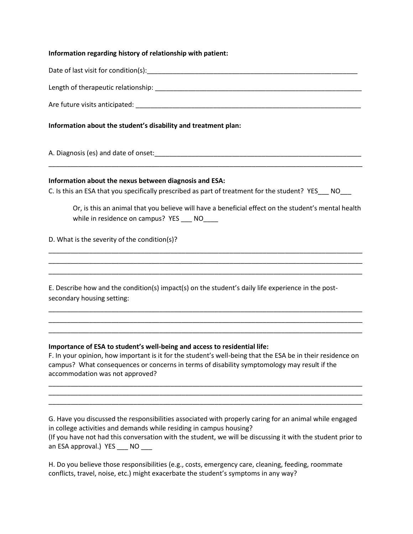## **Information regarding history of relationship with patient:**

Date of last visit for condition(s): example and the set of last visit for condition(s):

Length of therapeutic relationship: \_\_\_\_\_\_\_\_\_\_\_\_\_\_\_\_\_\_\_\_\_\_\_\_\_\_\_\_\_\_\_\_\_\_\_\_\_\_\_\_\_\_\_\_\_\_\_\_\_\_\_\_\_\_\_\_

Are future visits anticipated:  $\blacksquare$ 

**Information about the student's disability and treatment plan:** 

A. Diagnosis (es) and date of onset:

### **Information about the nexus between diagnosis and ESA:**

C. Is this an ESA that you specifically prescribed as part of treatment for the student? YES NO

\_\_\_\_\_\_\_\_\_\_\_\_\_\_\_\_\_\_\_\_\_\_\_\_\_\_\_\_\_\_\_\_\_\_\_\_\_\_\_\_\_\_\_\_\_\_\_\_\_\_\_\_\_\_\_\_\_\_\_\_\_\_\_\_\_\_\_\_\_\_\_\_\_\_\_\_\_\_\_\_\_\_\_\_\_

\_\_\_\_\_\_\_\_\_\_\_\_\_\_\_\_\_\_\_\_\_\_\_\_\_\_\_\_\_\_\_\_\_\_\_\_\_\_\_\_\_\_\_\_\_\_\_\_\_\_\_\_\_\_\_\_\_\_\_\_\_\_\_\_\_\_\_\_\_\_\_\_\_\_\_\_\_\_\_\_\_\_\_\_\_ \_\_\_\_\_\_\_\_\_\_\_\_\_\_\_\_\_\_\_\_\_\_\_\_\_\_\_\_\_\_\_\_\_\_\_\_\_\_\_\_\_\_\_\_\_\_\_\_\_\_\_\_\_\_\_\_\_\_\_\_\_\_\_\_\_\_\_\_\_\_\_\_\_\_\_\_\_\_\_\_\_\_\_\_\_ \_\_\_\_\_\_\_\_\_\_\_\_\_\_\_\_\_\_\_\_\_\_\_\_\_\_\_\_\_\_\_\_\_\_\_\_\_\_\_\_\_\_\_\_\_\_\_\_\_\_\_\_\_\_\_\_\_\_\_\_\_\_\_\_\_\_\_\_\_\_\_\_\_\_\_\_\_\_\_\_\_\_\_\_\_

\_\_\_\_\_\_\_\_\_\_\_\_\_\_\_\_\_\_\_\_\_\_\_\_\_\_\_\_\_\_\_\_\_\_\_\_\_\_\_\_\_\_\_\_\_\_\_\_\_\_\_\_\_\_\_\_\_\_\_\_\_\_\_\_\_\_\_\_\_\_\_\_\_\_\_\_\_\_\_\_\_\_\_\_\_ \_\_\_\_\_\_\_\_\_\_\_\_\_\_\_\_\_\_\_\_\_\_\_\_\_\_\_\_\_\_\_\_\_\_\_\_\_\_\_\_\_\_\_\_\_\_\_\_\_\_\_\_\_\_\_\_\_\_\_\_\_\_\_\_\_\_\_\_\_\_\_\_\_\_\_\_\_\_\_\_\_\_\_\_\_ \_\_\_\_\_\_\_\_\_\_\_\_\_\_\_\_\_\_\_\_\_\_\_\_\_\_\_\_\_\_\_\_\_\_\_\_\_\_\_\_\_\_\_\_\_\_\_\_\_\_\_\_\_\_\_\_\_\_\_\_\_\_\_\_\_\_\_\_\_\_\_\_\_\_\_\_\_\_\_\_\_\_\_\_\_

Or, is this an animal that you believe will have a beneficial effect on the student's mental health while in residence on campus? YES NO

D. What is the severity of the condition(s)?

E. Describe how and the condition(s) impact(s) on the student's daily life experience in the postsecondary housing setting:

### **Importance of ESA to student's well-being and access to residential life:**

F. In your opinion, how important is it for the student's well-being that the ESA be in their residence on campus? What consequences or concerns in terms of disability symptomology may result if the accommodation was not approved?

\_\_\_\_\_\_\_\_\_\_\_\_\_\_\_\_\_\_\_\_\_\_\_\_\_\_\_\_\_\_\_\_\_\_\_\_\_\_\_\_\_\_\_\_\_\_\_\_\_\_\_\_\_\_\_\_\_\_\_\_\_\_\_\_\_\_\_\_\_\_\_\_\_\_\_\_\_\_\_\_\_\_\_\_\_ \_\_\_\_\_\_\_\_\_\_\_\_\_\_\_\_\_\_\_\_\_\_\_\_\_\_\_\_\_\_\_\_\_\_\_\_\_\_\_\_\_\_\_\_\_\_\_\_\_\_\_\_\_\_\_\_\_\_\_\_\_\_\_\_\_\_\_\_\_\_\_\_\_\_\_\_\_\_\_\_\_\_\_\_\_ \_\_\_\_\_\_\_\_\_\_\_\_\_\_\_\_\_\_\_\_\_\_\_\_\_\_\_\_\_\_\_\_\_\_\_\_\_\_\_\_\_\_\_\_\_\_\_\_\_\_\_\_\_\_\_\_\_\_\_\_\_\_\_\_\_\_\_\_\_\_\_\_\_\_\_\_\_\_\_\_\_\_\_\_\_

G. Have you discussed the responsibilities associated with properly caring for an animal while engaged in college activities and demands while residing in campus housing? (If you have not had this conversation with the student, we will be discussing it with the student prior to an ESA approval.) YES \_\_\_ NO

H. Do you believe those responsibilities (e.g., costs, emergency care, cleaning, feeding, roommate conflicts, travel, noise, etc.) might exacerbate the student's symptoms in any way?